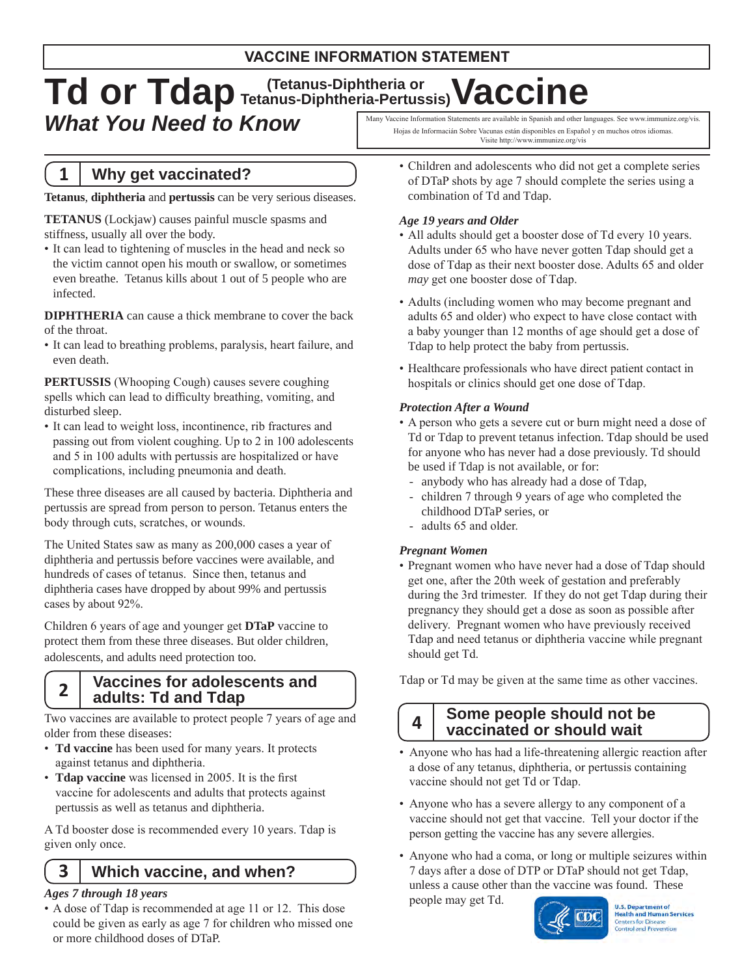## **VACCINE INFORMATION STATEMENT**

## Td or Tdap Tetanus-Diphtheria or Vaccine Many Vaccine Information Statements are available in Spanish and other languages. See www.immunize.org/vis. *What You Need to Know*

# **1 Why get vaccinated?**

**Tetanus**, **diphtheria** and **pertussis** can be very serious diseases.

**TETANUS** (Lockjaw) causes painful muscle spasms and stiffness, usually all over the body.

• It can lead to tightening of muscles in the head and neck so the victim cannot open his mouth or swallow, or sometimes even breathe. Tetanus kills about 1 out of 5 people who are infected.

**DIPHTHERIA** can cause a thick membrane to cover the back of the throat.

• It can lead to breathing problems, paralysis, heart failure, and even death.

**PERTUSSIS** (Whooping Cough) causes severe coughing spells which can lead to difficulty breathing, vomiting, and disturbed sleep.

• It can lead to weight loss, incontinence, rib fractures and passing out from violent coughing. Up to 2 in 100 adolescents and 5 in 100 adults with pertussis are hospitalized or have complications, including pneumonia and death.

These three diseases are all caused by bacteria. Diphtheria and pertussis are spread from person to person. Tetanus enters the body through cuts, scratches, or wounds.

The United States saw as many as 200,000 cases a year of diphtheria and pertussis before vaccines were available, and hundreds of cases of tetanus. Since then, tetanus and diphtheria cases have dropped by about 99% and pertussis cases by about 92%.

 Children 6 years of age and younger get **DTaP** vaccine to protect them from these three diseases. But older children, adolescents, and adults need protection too.

#### **2 Vaccines for adolescents and adults: Td and Tdap**

Two vaccines are available to protect people 7 years of age and older from these diseases:

- • **Td vaccine** has been used for many years. It protects against tetanus and diphtheria.
- • **Tdap vaccine** was licensed in 2005. It is the first vaccine for adolescents and adults that protects against pertussis as well as tetanus and diphtheria.

 A Td booster dose is recommended every 10 years. Tdap is given only once.

# **3 Which vaccine, and when?**

#### *Ages 7 through 18 years*

• A dose of Tdap is recommended at age 11 or 12. This dose could be given as early as age 7 for children who missed one or more childhood doses of DTaP.

- Hojas de Informacián Sobre Vacunas están disponibles en Español y en muchos otros idiomas. Visite http://www.immunize.org/vis
	- Children and adolescents who did not get a complete series of DTaP shots by age 7 should complete the series using a combination of Td and Tdap.

### *Age 19 years and Older*

- All adults should get a booster dose of Td every 10 years. Adults under 65 who have never gotten Tdap should get a dose of Tdap as their next booster dose. Adults 65 and older *may* get one booster dose of Tdap.
- • Adults (including women who may become pregnant and adults 65 and older) who expect to have close contact with a baby younger than 12 months of age should get a dose of Tdap to help protect the baby from pertussis.
- Healthcare professionals who have direct patient contact in hospitals or clinics should get one dose of Tdap.

#### *Protection After a Wound*

- A person who gets a severe cut or burn might need a dose of Td or Tdap to prevent tetanus infection. Tdap should be used for anyone who has never had a dose previously. Td should be used if Tdap is not available, or for:
	- anybody who has already had a dose of Tdap,
	- children 7 through 9 years of age who completed the childhood DTaP series, or
- adults 65 and older.

#### *Pregnant Women*

• Pregnant women who have never had a dose of Tdap should get one, after the 20th week of gestation and preferably during the 3rd trimester. If they do not get Tdap during their pregnancy they should get a dose as soon as possible after delivery. Pregnant women who have previously received Tdap and need tetanus or diphtheria vaccine while pregnant should get Td.

 Tdap or Td may be given at the same time as other vaccines.

#### **4 Some people should not be vaccinated or should wait**

- Anyone who has had a life-threatening allergic reaction after a dose of any tetanus, diphtheria, or pertussis containing vaccine should not get Td or Tdap.
- Anyone who has a severe allergy to any component of a vaccine should not get that vaccine. Tell your doctor if the person getting the vaccine has any severe allergies.
- Anyone who had a coma, or long or multiple seizures within 7 days after a dose of DTP or DTaP should not get Tdap, unless a cause other than the vaccine was found. These people may get Td.



U.S. Department of<br>Health and Human Services **Centers for Disease Control and Prevention**